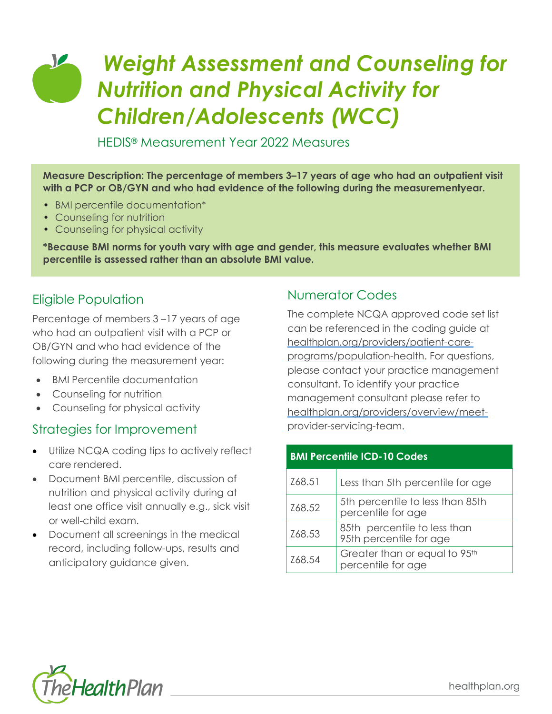## *Weight Assessment and Counseling for*   $\sqrt{2}$ *Nutrition and Physical Activity for Children/Adolescents (WCC)*

HEDIS® Measurement Year 2022 Measures

**Measure Description: The percentage of members 3–17 years of age who had an outpatient visit with a PCP or OB/GYN and who had evidence of the following during the measurementyear.**

- BMI percentile documentation\*
- Counseling for nutrition
- Counseling for physical activity

**\*Because BMI norms for youth vary with age and gender, this measure evaluates whether BMI percentile is assessed rather than an absolute BMI value.**

### Eligible Population

Percentage of members 3 –17 years of age who had an outpatient visit with a PCP or OB/GYN and who had evidence of the following during the measurement year:

- BMI Percentile documentation
- Counseling for nutrition
- Counseling for physical activity

#### Strategies for Improvement

- Utilize NCQA coding tips to actively reflect care rendered.
- Document BMI percentile, discussion of nutrition and physical activity during at least one office visit annually e.g., sick visit or well-child exam.
- Document all screenings in the medical record, including follow-ups, results and anticipatory guidance given.

#### Numerator Codes

The complete NCQA approved code set list can be referenced in the coding guide at [healthplan.org/providers/patient-care](https://www.healthplan.org/providers/patient-care-programs/population-health)[programs/population-health.](https://www.healthplan.org/providers/patient-care-programs/population-health) For questions, please contact your practice management consultant. To identify your practice management consultant please refer to [healthplan.org/providers/overview/meet](https://healthplan.org/providers/overview/meet-provider-servicing-team)[provider-servicing-team.](https://healthplan.org/providers/overview/meet-provider-servicing-team)

| <b>BMI Percentile ICD-10 Codes</b> |                                                         |  |  |  |
|------------------------------------|---------------------------------------------------------|--|--|--|
| Z68.51                             | Less than 5th percentile for age                        |  |  |  |
| Z68.52                             | 5th percentile to less than 85th<br>percentile for age  |  |  |  |
| Z68.53                             | 85th percentile to less than<br>95th percentile for age |  |  |  |
| Z68.54                             | Greater than or equal to 95th<br>percentile for age     |  |  |  |